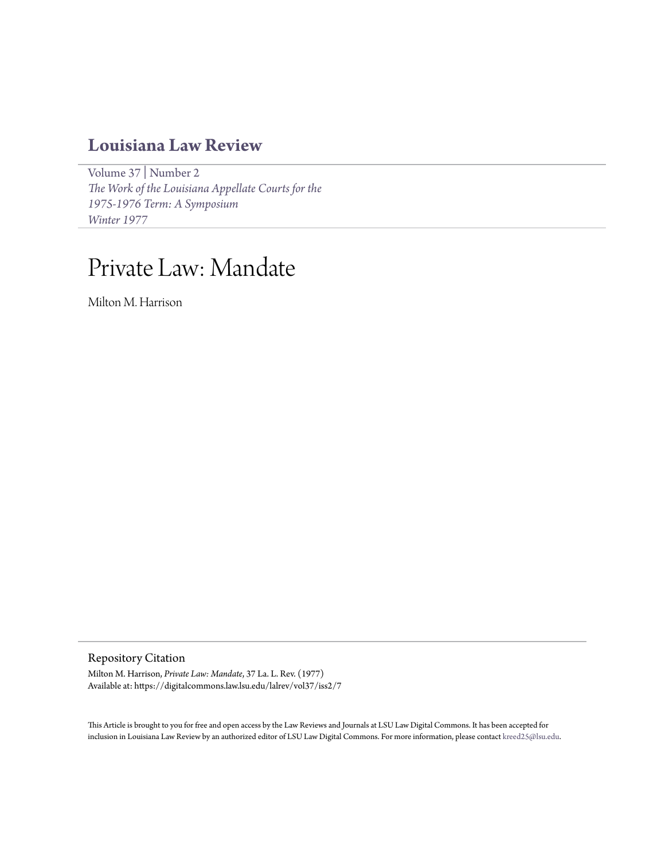## **[Louisiana Law Review](https://digitalcommons.law.lsu.edu/lalrev)**

[Volume 37](https://digitalcommons.law.lsu.edu/lalrev/vol37) | [Number 2](https://digitalcommons.law.lsu.edu/lalrev/vol37/iss2) *[The Work of the Louisiana Appellate Courts for the](https://digitalcommons.law.lsu.edu/lalrev/vol37/iss2) [1975-1976 Term: A Symposium](https://digitalcommons.law.lsu.edu/lalrev/vol37/iss2) [Winter 1977](https://digitalcommons.law.lsu.edu/lalrev/vol37/iss2)*

## Private Law: Mandate

Milton M. Harrison

Repository Citation

Milton M. Harrison, *Private Law: Mandate*, 37 La. L. Rev. (1977) Available at: https://digitalcommons.law.lsu.edu/lalrev/vol37/iss2/7

This Article is brought to you for free and open access by the Law Reviews and Journals at LSU Law Digital Commons. It has been accepted for inclusion in Louisiana Law Review by an authorized editor of LSU Law Digital Commons. For more information, please contact [kreed25@lsu.edu](mailto:kreed25@lsu.edu).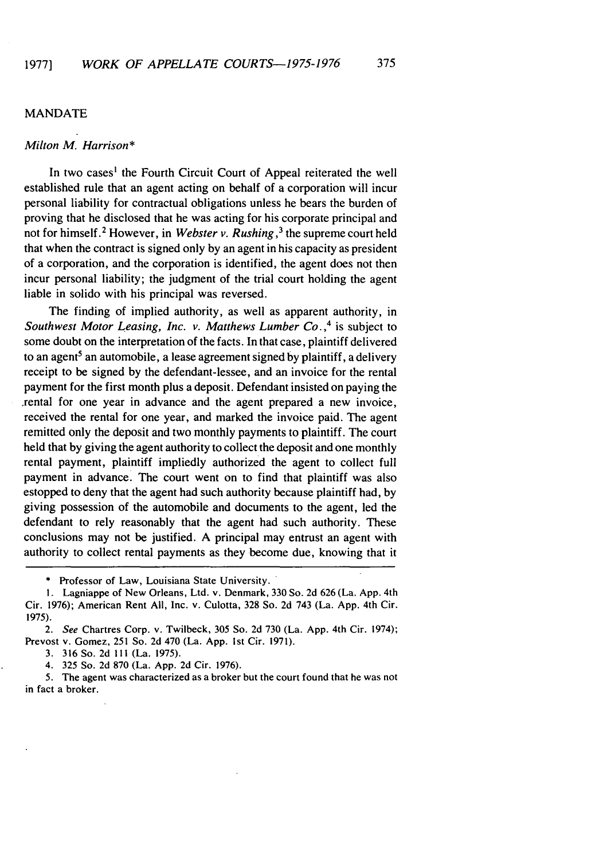## MANDATE

## *Milton M. Harrison\**

In two cases<sup>1</sup> the Fourth Circuit Court of Appeal reiterated the well established rule that an agent acting on behalf of a corporation will incur personal liability for contractual obligations unless he bears the burden of proving that he disclosed that he was acting for his corporate principal and not for himself. 2 However, in *Webster v. Rushing,'* the supreme court held that when the contract is signed only by an agent in his capacity as president of a corporation, and the corporation is identified, the agent does not then incur personal liability; the judgment of the trial court holding the agent liable in solido with his principal was reversed.

The finding of implied authority, as well as apparent authority, in Southwest Motor Leasing, *Inc. v. Matthews Lumber Co.*,<sup>4</sup> is subject to some doubt on the interpretation of the facts. In that case, plaintiff delivered to an agent<sup>5</sup> an automobile, a lease agreement signed by plaintiff, a delivery receipt to be signed by the defendant-lessee, and an invoice for the rental payment for the first month plus a deposit. Defendant insisted on paying the .rental for one year in advance and the agent prepared a new invoice, received the rental for one year, and marked the invoice paid. The agent remitted only the deposit and two monthly payments to plaintiff. The court held that by giving the agent authority to collect the deposit and one monthly rental payment, plaintiff impliedly authorized the agent to collect full payment in advance. The court went on to find that plaintiff was also estopped to deny that the agent had such authority because plaintiff had, by giving possession of the automobile and documents to the agent, led the defendant to rely reasonably that the agent had such authority. These conclusions may not be justified. A principal may entrust an agent with authority to collect rental payments as they become due, knowing that it

3. 316 So. 2d 111 (La. 1975).

4. 325 So. 2d 870 (La. App. 2d Cir. 1976).

5. The agent was characterized as a broker but the court found that he was not in fact a broker.

<sup>\*</sup> Professor of Law, Louisiana State University.

<sup>1.</sup> Lagniappe of New Orleans, Ltd. v. Denmark, 330 So. 2d 626 (La. App. 4th Cir. 1976); American Rent All, Inc. v. Culotta, 328 So. 2d 743 (La. App. 4th Cir. 1975).

*<sup>2.</sup> See* Chartres Corp. v. Twilbeck, 305 So. 2d 730 (La. App. 4th Cir. 1974); Prevost v. Gomez, 251 So. 2d 470 (La. App. 1st Cir. 1971).